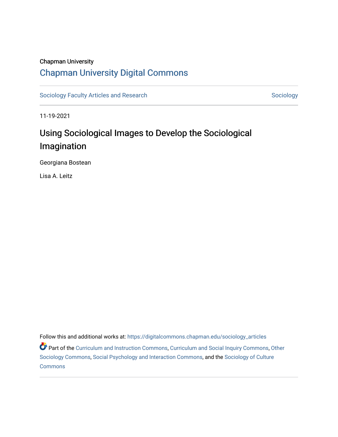### Chapman University

# [Chapman University Digital Commons](https://digitalcommons.chapman.edu/)

[Sociology Faculty Articles and Research](https://digitalcommons.chapman.edu/sociology_articles) [Sociology](https://digitalcommons.chapman.edu/sociology) Sociology

11-19-2021

# Using Sociological Images to Develop the Sociological Imagination

Georgiana Bostean

Lisa A. Leitz

Follow this and additional works at: [https://digitalcommons.chapman.edu/sociology\\_articles](https://digitalcommons.chapman.edu/sociology_articles?utm_source=digitalcommons.chapman.edu%2Fsociology_articles%2F70&utm_medium=PDF&utm_campaign=PDFCoverPages)  **Part of the [Curriculum and Instruction Commons,](http://network.bepress.com/hgg/discipline/786?utm_source=digitalcommons.chapman.edu%2Fsociology_articles%2F70&utm_medium=PDF&utm_campaign=PDFCoverPages) [Curriculum and Social Inquiry Commons,](http://network.bepress.com/hgg/discipline/1038?utm_source=digitalcommons.chapman.edu%2Fsociology_articles%2F70&utm_medium=PDF&utm_campaign=PDFCoverPages) [Other](http://network.bepress.com/hgg/discipline/434?utm_source=digitalcommons.chapman.edu%2Fsociology_articles%2F70&utm_medium=PDF&utm_campaign=PDFCoverPages)** [Sociology Commons](http://network.bepress.com/hgg/discipline/434?utm_source=digitalcommons.chapman.edu%2Fsociology_articles%2F70&utm_medium=PDF&utm_campaign=PDFCoverPages), [Social Psychology and Interaction Commons,](http://network.bepress.com/hgg/discipline/430?utm_source=digitalcommons.chapman.edu%2Fsociology_articles%2F70&utm_medium=PDF&utm_campaign=PDFCoverPages) and the [Sociology of Culture](http://network.bepress.com/hgg/discipline/431?utm_source=digitalcommons.chapman.edu%2Fsociology_articles%2F70&utm_medium=PDF&utm_campaign=PDFCoverPages) **[Commons](http://network.bepress.com/hgg/discipline/431?utm_source=digitalcommons.chapman.edu%2Fsociology_articles%2F70&utm_medium=PDF&utm_campaign=PDFCoverPages)**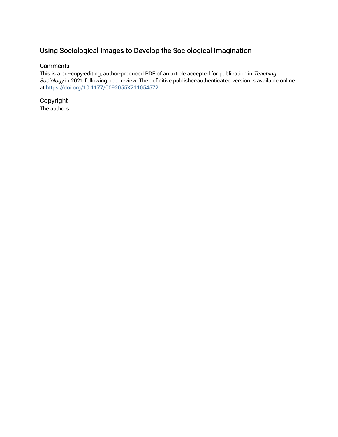# Using Sociological Images to Develop the Sociological Imagination

## **Comments**

This is a pre-copy-editing, author-produced PDF of an article accepted for publication in Teaching Sociology in 2021 following peer review. The definitive publisher-authenticated version is available online at<https://doi.org/10.1177/0092055X211054572>.

Copyright The authors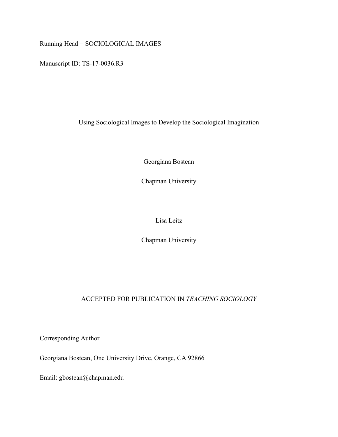Running Head = SOCIOLOGICAL IMAGES

Manuscript ID: TS-17-0036.R3

Using Sociological Images to Develop the Sociological Imagination

Georgiana Bostean

Chapman University

Lisa Leitz

Chapman University

# ACCEPTED FOR PUBLICATION IN *TEACHING SOCIOLOGY*

Corresponding Author

Georgiana Bostean, One University Drive, Orange, CA 92866

Email: gbostean@chapman.edu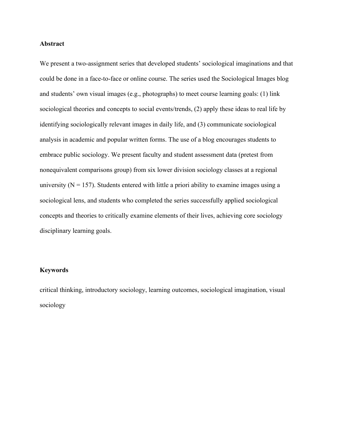#### **Abstract**

We present a two-assignment series that developed students' sociological imaginations and that could be done in a face-to-face or online course. The series used the Sociological Images blog and students' own visual images (e.g., photographs) to meet course learning goals: (1) link sociological theories and concepts to social events/trends, (2) apply these ideas to real life by identifying sociologically relevant images in daily life, and (3) communicate sociological analysis in academic and popular written forms. The use of a blog encourages students to embrace public sociology. We present faculty and student assessment data (pretest from nonequivalent comparisons group) from six lower division sociology classes at a regional university ( $N = 157$ ). Students entered with little a priori ability to examine images using a sociological lens, and students who completed the series successfully applied sociological concepts and theories to critically examine elements of their lives, achieving core sociology disciplinary learning goals.

#### **Keywords**

critical thinking, introductory sociology, learning outcomes, sociological imagination, visual sociology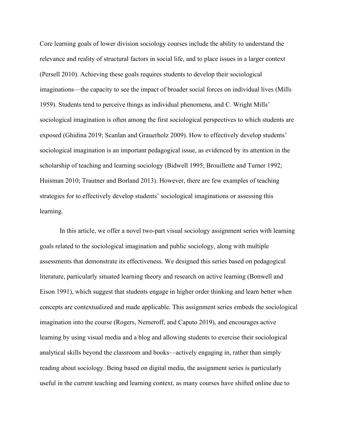Core learning goals of lower division sociology courses include the ability to understand the relevance and reality of structural factors in social life, and to place issues in a larger context (Persell 2010). Achieving these goals requires students to develop their sociological imaginations—the capacity to see the impact of broader social forces on individual lives (Mills 1959). Students tend to perceive things as individual phenomena, and C. Wright Mills' sociological imagination is often among the first sociological perspectives to which students are exposed [\(Ghidina 2019;](#page-31-0) Scanlan and Grauerholz 2009). How to effectively develop students' sociological imagination is an important pedagogical issue, as evidenced by its attention in the scholarship of teaching and learning sociology (Bidwell 1995; Brouillette and Turner 1992; Huisman 2010; Trautner and Borland 2013). However, there are few examples of teaching strategies for to effectively develop students' sociological imaginations or assessing this learning.

In this article, we offer a novel two-part visual sociology assignment series with learning goals related to the sociological imagination and public sociology, along with multiple assessments that demonstrate its effectiveness. We designed this series based on pedagogical literature, particularly situated learning theory and research on active learning (Bonwell and Eison 1991), which suggest that students engage in higher order thinking and learn better when concepts are contextualized and made applicable. This assignment series embeds the sociological imagination into the course (Rogers, Nemeroff, and Caputo 2019), and encourages active learning by using visual media and a blog and allowing students to exercise their sociological analytical skills beyond the classroom and books—actively engaging in, rather than simply reading about sociology. Being based on digital media, the assignment series is particularly useful in the current teaching and learning context, as many courses have shifted online due to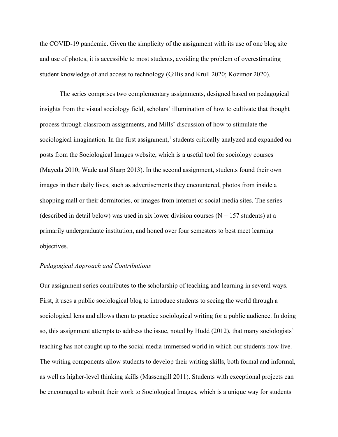the COVID-19 pandemic. Given the simplicity of the assignment with its use of one blog site and use of photos, it is accessible to most students, avoiding the problem of overestimating student knowledge of and access to technology (Gillis and Krull 2020; Kozimor 2020).

The series comprises two complementary assignments, designed based on pedagogical insights from the visual sociology field, scholars' illumination of how to cultivate that thought process through classroom assignments, and Mills' discussion of how to stimulate the sociological imagination. In the first assignment,<sup>1</sup> students critically analyzed and expanded on posts from the Sociological Images website, which is a useful tool for sociology courses (Mayeda 2010; Wade and Sharp 2013). In the second assignment, students found their own images in their daily lives, such as advertisements they encountered, photos from inside a shopping mall or their dormitories, or images from internet or social media sites. The series (described in detail below) was used in six lower division courses ( $N = 157$  students) at a primarily undergraduate institution, and honed over four semesters to best meet learning objectives.

#### *Pedagogical Approach and Contributions*

Our assignment series contributes to the scholarship of teaching and learning in several ways. First, it uses a public sociological blog to introduce students to seeing the world through a sociological lens and allows them to practice sociological writing for a public audience. In doing so, this assignment attempts to address the issue, noted by Hudd (2012), that many sociologists' teaching has not caught up to the social media-immersed world in which our students now live. The writing components allow students to develop their writing skills, both formal and informal, as well as higher-level thinking skills (Massengill 2011). Students with exceptional projects can be encouraged to submit their work to Sociological Images, which is a unique way for students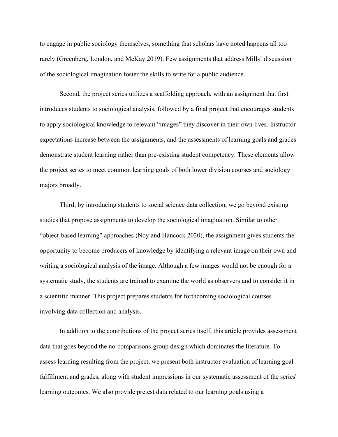to engage in public sociology themselves, something that scholars have noted happens all too rarely (Greenberg, London, and McKay 2019). Few assignments that address Mills' discussion of the sociological imagination foster the skills to write for a public audience.

Second, the project series utilizes a scaffolding approach, with an assignment that first introduces students to sociological analysis, followed by a final project that encourages students to apply sociological knowledge to relevant "images" they discover in their own lives. Instructor expectations increase between the assignments, and the assessments of learning goals and grades demonstrate student learning rather than pre-existing student competency. These elements allow the project series to meet common learning goals of both lower division courses and sociology majors broadly.

Third, by introducing students to social science data collection, we go beyond existing studies that propose assignments to develop the sociological imagination. Similar to other "object-based learning" approaches (Noy and Hancock 2020), the assignment gives students the opportunity to become producers of knowledge by identifying a relevant image on their own and writing a sociological analysis of the image. Although a few images would not be enough for a systematic study, the students are trained to examine the world as observers and to consider it in a scientific manner. This project prepares students for forthcoming sociological courses involving data collection and analysis.

In addition to the contributions of the project series itself, this article provides assessment data that goes beyond the no-comparisons-group design which dominates the literature. To assess learning resulting from the project, we present both instructor evaluation of learning goal fulfillment and grades, along with student impressions in our systematic assessment of the series' learning outcomes. We also provide pretest data related to our learning goals using a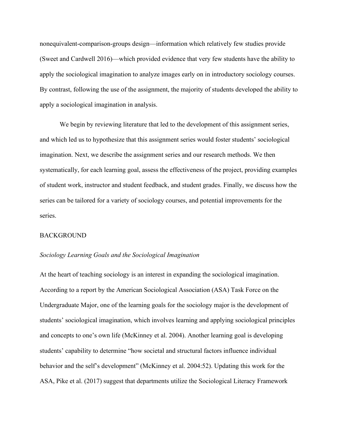nonequivalent-comparison-groups design—information which relatively few studies provide (Sweet and Cardwell 2016)—which provided evidence that very few students have the ability to apply the sociological imagination to analyze images early on in introductory sociology courses. By contrast, following the use of the assignment, the majority of students developed the ability to apply a sociological imagination in analysis.

We begin by reviewing literature that led to the development of this assignment series, and which led us to hypothesize that this assignment series would foster students' sociological imagination. Next, we describe the assignment series and our research methods. We then systematically, for each learning goal, assess the effectiveness of the project, providing examples of student work, instructor and student feedback, and student grades. Finally, we discuss how the series can be tailored for a variety of sociology courses, and potential improvements for the series.

#### BACKGROUND

#### *Sociology Learning Goals and the Sociological Imagination*

At the heart of teaching sociology is an interest in expanding the sociological imagination. According to a report by the American Sociological Association (ASA) Task Force on the Undergraduate Major, one of the learning goals for the sociology major is the development of students' sociological imagination, which involves learning and applying sociological principles and concepts to one's own life (McKinney et al. 2004). Another learning goal is developing students' capability to determine "how societal and structural factors influence individual behavior and the self's development" (McKinney et al. 2004:52). Updating this work for the ASA, Pike et al. (2017) suggest that departments utilize the Sociological Literacy Framework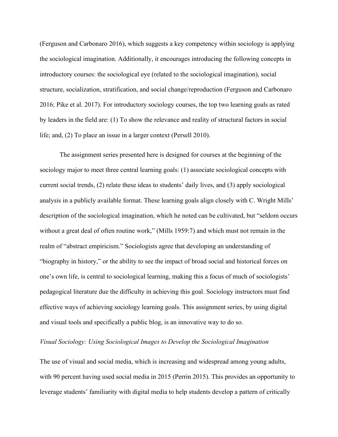(Ferguson and Carbonaro 2016), which suggests a key competency within sociology is applying the sociological imagination. Additionally, it encourages introducing the following concepts in introductory courses: the sociological eye (related to the sociological imagination), social structure, socialization, stratification, and social change/reproduction (Ferguson and Carbonaro 2016; Pike et al. 2017). For introductory sociology courses, the top two learning goals as rated by leaders in the field are: (1) To show the relevance and reality of structural factors in social life; and, (2) To place an issue in a larger context (Persell 2010).

The assignment series presented here is designed for courses at the beginning of the sociology major to meet three central learning goals: (1) associate sociological concepts with current social trends, (2) relate these ideas to students' daily lives, and (3) apply sociological analysis in a publicly available format. These learning goals align closely with C. Wright Mills' description of the sociological imagination, which he noted can be cultivated, but "seldom occurs without a great deal of often routine work," (Mills 1959:7) and which must not remain in the realm of "abstract empiricism." Sociologists agree that developing an understanding of "biography in history," or the ability to see the impact of broad social and historical forces on one's own life, is central to sociological learning, making this a focus of much of sociologists' pedagogical literature due the difficulty in achieving this goal. Sociology instructors must find effective ways of achieving sociology learning goals. This assignment series, by using digital and visual tools and specifically a public blog, is an innovative way to do so.

#### *Visual Sociology: Using Sociological Images to Develop the Sociological Imagination*

The use of visual and social media, which is increasing and widespread among young adults, with 90 percent having used social media in 2015 (Perrin 2015). This provides an opportunity to leverage students' familiarity with digital media to help students develop a pattern of critically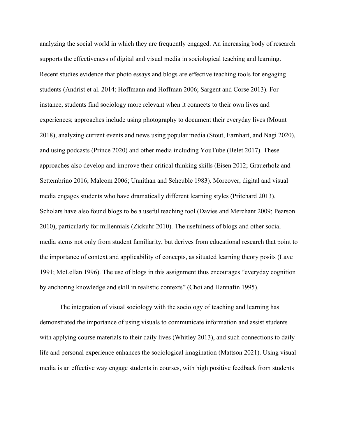analyzing the social world in which they are frequently engaged. An increasing body of research supports the effectiveness of digital and visual media in sociological teaching and learning. Recent studies evidence that photo essays and blogs are effective teaching tools for engaging students (Andrist et al. 2014; Hoffmann and Hoffman 2006; Sargent and Corse 2013). For instance, students find sociology more relevant when it connects to their own lives and experiences; approaches include using photography to document their everyday lives (Mount 2018), analyzing current events and news using popular media (Stout, Earnhart, and Nagi 2020), and using podcasts (Prince 2020) and other media including YouTube (Belet 2017). These approaches also develop and improve their critical thinking skills (Eisen 2012; Grauerholz and Settembrino 2016; Malcom 2006; Unnithan and Scheuble 1983). Moreover, digital and visual media engages students who have dramatically different learning styles (Pritchard 2013). Scholars have also found blogs to be a useful teaching tool (Davies and Merchant 2009; Pearson 2010), particularly for millennials (Zickuhr 2010). The usefulness of blogs and other social media stems not only from student familiarity, but derives from educational research that point to the importance of context and applicability of concepts, as situated learning theory posits (Lave 1991; McLellan 1996). The use of blogs in this assignment thus encourages "everyday cognition by anchoring knowledge and skill in realistic contexts" (Choi and Hannafin 1995).

The integration of visual sociology with the sociology of teaching and learning has demonstrated the importance of using visuals to communicate information and assist students with applying course materials to their daily lives (Whitley 2013), and such connections to daily life and personal experience enhances the sociological imagination (Mattson 2021). Using visual media is an effective way engage students in courses, with high positive feedback from students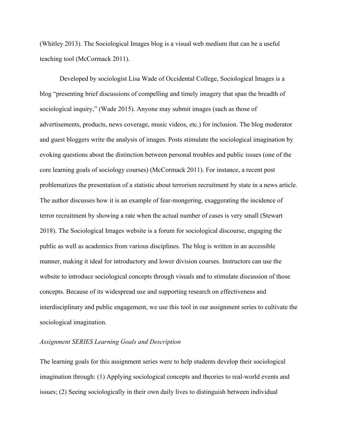(Whitley 2013). The Sociological Images blog is a visual web medium that can be a useful teaching tool (McCormack 2011).

Developed by sociologist Lisa Wade of Occidental College, Sociological Images is a blog "presenting brief discussions of compelling and timely imagery that span the breadth of sociological inquiry," (Wade 2015). Anyone may submit images (such as those of advertisements, products, news coverage, music videos, etc.) for inclusion. The blog moderator and guest bloggers write the analysis of images. Posts stimulate the sociological imagination by evoking questions about the distinction between personal troubles and public issues (one of the core learning goals of sociology courses) (McCormack 2011). For instance, a recent post problematizes the presentation of a statistic about terrorism recruitment by state in a news article. The author discusses how it is an example of fear-mongering, exaggerating the incidence of terror recruitment by showing a rate when the actual number of cases is very small (Stewart 2018). The Sociological Images website is a forum for sociological discourse, engaging the public as well as academics from various disciplines. The blog is written in an accessible manner, making it ideal for introductory and lower division courses. Instructors can use the website to introduce sociological concepts through visuals and to stimulate discussion of those concepts. Because of its widespread use and supporting research on effectiveness and interdisciplinary and public engagement, we use this tool in our assignment series to cultivate the sociological imagination.

#### *Assignment SERIES Learning Goals and Description*

The learning goals for this assignment series were to help students develop their sociological imagination through: (1) Applying sociological concepts and theories to real-world events and issues; (2) Seeing sociologically in their own daily lives to distinguish between individual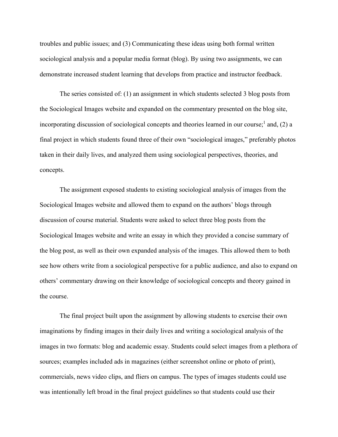troubles and public issues; and (3) Communicating these ideas using both formal written sociological analysis and a popular media format (blog). By using two assignments, we can demonstrate increased student learning that develops from practice and instructor feedback.

The series consisted of: (1) an assignment in which students selected 3 blog posts from the Sociological Images website and expanded on the commentary presented on the blog site, incorporating discussion of sociological concepts and theories learned in our course;<sup>1</sup> and, (2) a final project in which students found three of their own "sociological images," preferably photos taken in their daily lives, and analyzed them using sociological perspectives, theories, and concepts.

The assignment exposed students to existing sociological analysis of images from the Sociological Images website and allowed them to expand on the authors' blogs through discussion of course material. Students were asked to select three blog posts from the Sociological Images website and write an essay in which they provided a concise summary of the blog post, as well as their own expanded analysis of the images. This allowed them to both see how others write from a sociological perspective for a public audience, and also to expand on others' commentary drawing on their knowledge of sociological concepts and theory gained in the course.

The final project built upon the assignment by allowing students to exercise their own imaginations by finding images in their daily lives and writing a sociological analysis of the images in two formats: blog and academic essay. Students could select images from a plethora of sources; examples included ads in magazines (either screenshot online or photo of print), commercials, news video clips, and fliers on campus. The types of images students could use was intentionally left broad in the final project guidelines so that students could use their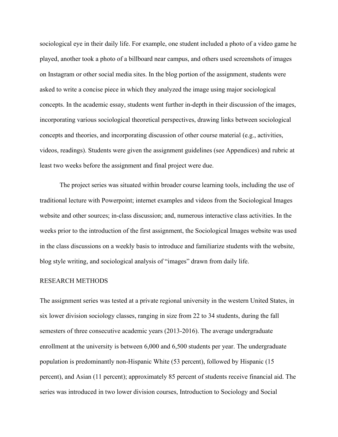sociological eye in their daily life. For example, one student included a photo of a video game he played, another took a photo of a billboard near campus, and others used screenshots of images on Instagram or other social media sites. In the blog portion of the assignment, students were asked to write a concise piece in which they analyzed the image using major sociological concepts. In the academic essay, students went further in-depth in their discussion of the images, incorporating various sociological theoretical perspectives, drawing links between sociological concepts and theories, and incorporating discussion of other course material (e.g., activities, videos, readings). Students were given the assignment guidelines (see Appendices) and rubric at least two weeks before the assignment and final project were due.

The project series was situated within broader course learning tools, including the use of traditional lecture with Powerpoint; internet examples and videos from the Sociological Images website and other sources; in-class discussion; and, numerous interactive class activities. In the weeks prior to the introduction of the first assignment, the Sociological Images website was used in the class discussions on a weekly basis to introduce and familiarize students with the website, blog style writing, and sociological analysis of "images" drawn from daily life.

#### RESEARCH METHODS

The assignment series was tested at a private regional university in the western United States, in six lower division sociology classes, ranging in size from 22 to 34 students, during the fall semesters of three consecutive academic years (2013-2016). The average undergraduate enrollment at the university is between 6,000 and 6,500 students per year. The undergraduate population is predominantly non-Hispanic White (53 percent), followed by Hispanic (15 percent), and Asian (11 percent); approximately 85 percent of students receive financial aid. The series was introduced in two lower division courses, Introduction to Sociology and Social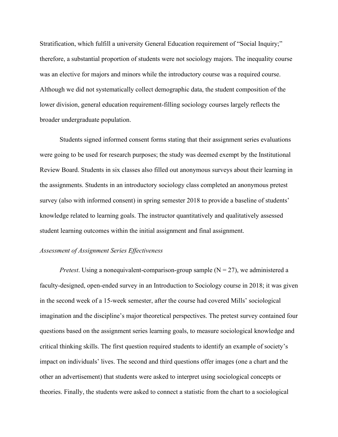Stratification, which fulfill a university General Education requirement of "Social Inquiry;" therefore, a substantial proportion of students were not sociology majors. The inequality course was an elective for majors and minors while the introductory course was a required course. Although we did not systematically collect demographic data, the student composition of the lower division, general education requirement-filling sociology courses largely reflects the broader undergraduate population.

Students signed informed consent forms stating that their assignment series evaluations were going to be used for research purposes; the study was deemed exempt by the Institutional Review Board. Students in six classes also filled out anonymous surveys about their learning in the assignments. Students in an introductory sociology class completed an anonymous pretest survey (also with informed consent) in spring semester 2018 to provide a baseline of students' knowledge related to learning goals. The instructor quantitatively and qualitatively assessed student learning outcomes within the initial assignment and final assignment.

#### *Assessment of Assignment Series Effectiveness*

*Pretest*. Using a nonequivalent-comparison-group sample  $(N = 27)$ , we administered a faculty-designed, open-ended survey in an Introduction to Sociology course in 2018; it was given in the second week of a 15-week semester, after the course had covered Mills' sociological imagination and the discipline's major theoretical perspectives. The pretest survey contained four questions based on the assignment series learning goals, to measure sociological knowledge and critical thinking skills. The first question required students to identify an example of society's impact on individuals' lives. The second and third questions offer images (one a chart and the other an advertisement) that students were asked to interpret using sociological concepts or theories. Finally, the students were asked to connect a statistic from the chart to a sociological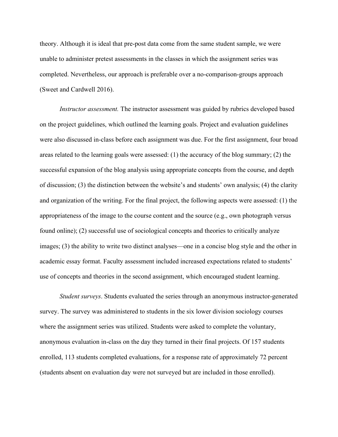theory. Although it is ideal that pre-post data come from the same student sample, we were unable to administer pretest assessments in the classes in which the assignment series was completed. Nevertheless, our approach is preferable over a no-comparison-groups approach (Sweet and Cardwell 2016).

*Instructor assessment.* The instructor assessment was guided by rubrics developed based on the project guidelines, which outlined the learning goals. Project and evaluation guidelines were also discussed in-class before each assignment was due. For the first assignment, four broad areas related to the learning goals were assessed: (1) the accuracy of the blog summary; (2) the successful expansion of the blog analysis using appropriate concepts from the course, and depth of discussion; (3) the distinction between the website's and students' own analysis; (4) the clarity and organization of the writing. For the final project, the following aspects were assessed: (1) the appropriateness of the image to the course content and the source (e.g., own photograph versus found online); (2) successful use of sociological concepts and theories to critically analyze images; (3) the ability to write two distinct analyses—one in a concise blog style and the other in academic essay format. Faculty assessment included increased expectations related to students' use of concepts and theories in the second assignment, which encouraged student learning.

*Student surveys*. Students evaluated the series through an anonymous instructor-generated survey. The survey was administered to students in the six lower division sociology courses where the assignment series was utilized. Students were asked to complete the voluntary, anonymous evaluation in-class on the day they turned in their final projects. Of 157 students enrolled, 113 students completed evaluations, for a response rate of approximately 72 percent (students absent on evaluation day were not surveyed but are included in those enrolled).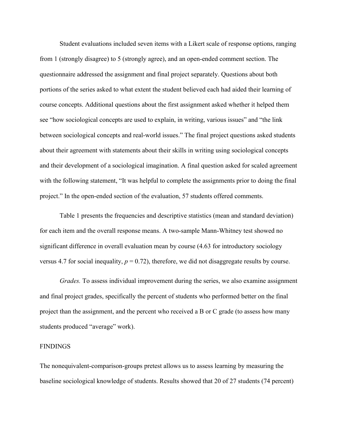Student evaluations included seven items with a Likert scale of response options, ranging from 1 (strongly disagree) to 5 (strongly agree), and an open-ended comment section. The questionnaire addressed the assignment and final project separately. Questions about both portions of the series asked to what extent the student believed each had aided their learning of course concepts. Additional questions about the first assignment asked whether it helped them see "how sociological concepts are used to explain, in writing, various issues" and "the link between sociological concepts and real-world issues." The final project questions asked students about their agreement with statements about their skills in writing using sociological concepts and their development of a sociological imagination. A final question asked for scaled agreement with the following statement, "It was helpful to complete the assignments prior to doing the final project." In the open-ended section of the evaluation, 57 students offered comments.

Table 1 presents the frequencies and descriptive statistics (mean and standard deviation) for each item and the overall response means. A two-sample Mann-Whitney test showed no significant difference in overall evaluation mean by course (4.63 for introductory sociology versus 4.7 for social inequality,  $p = 0.72$ ), therefore, we did not disaggregate results by course.

*Grades.* To assess individual improvement during the series, we also examine assignment and final project grades, specifically the percent of students who performed better on the final project than the assignment, and the percent who received a B or C grade (to assess how many students produced "average" work).

#### FINDINGS

The nonequivalent-comparison-groups pretest allows us to assess learning by measuring the baseline sociological knowledge of students. Results showed that 20 of 27 students (74 percent)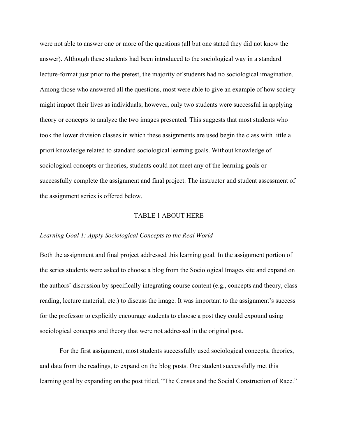were not able to answer one or more of the questions (all but one stated they did not know the answer). Although these students had been introduced to the sociological way in a standard lecture-format just prior to the pretest, the majority of students had no sociological imagination. Among those who answered all the questions, most were able to give an example of how society might impact their lives as individuals; however, only two students were successful in applying theory or concepts to analyze the two images presented. This suggests that most students who took the lower division classes in which these assignments are used begin the class with little a priori knowledge related to standard sociological learning goals. Without knowledge of sociological concepts or theories, students could not meet any of the learning goals or successfully complete the assignment and final project. The instructor and student assessment of the assignment series is offered below.

#### TABLE 1 ABOUT HERE

#### *Learning Goal 1: Apply Sociological Concepts to the Real World*

Both the assignment and final project addressed this learning goal. In the assignment portion of the series students were asked to choose a blog from the Sociological Images site and expand on the authors' discussion by specifically integrating course content (e.g., concepts and theory, class reading, lecture material, etc.) to discuss the image. It was important to the assignment's success for the professor to explicitly encourage students to choose a post they could expound using sociological concepts and theory that were not addressed in the original post.

For the first assignment, most students successfully used sociological concepts, theories, and data from the readings, to expand on the blog posts. One student successfully met this learning goal by expanding on the post titled, "The Census and the Social Construction of Race."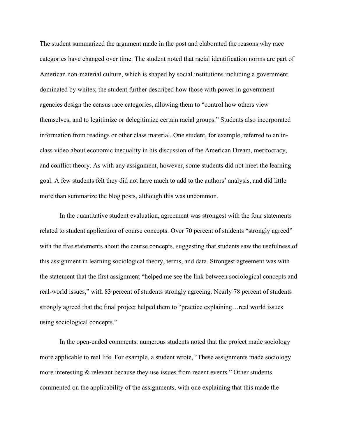The student summarized the argument made in the post and elaborated the reasons why race categories have changed over time. The student noted that racial identification norms are part of American non-material culture, which is shaped by social institutions including a government dominated by whites; the student further described how those with power in government agencies design the census race categories, allowing them to "control how others view themselves, and to legitimize or delegitimize certain racial groups." Students also incorporated information from readings or other class material. One student, for example, referred to an inclass video about economic inequality in his discussion of the American Dream, meritocracy, and conflict theory. As with any assignment, however, some students did not meet the learning goal. A few students felt they did not have much to add to the authors' analysis, and did little more than summarize the blog posts, although this was uncommon.

In the quantitative student evaluation, agreement was strongest with the four statements related to student application of course concepts. Over 70 percent of students "strongly agreed" with the five statements about the course concepts, suggesting that students saw the usefulness of this assignment in learning sociological theory, terms, and data. Strongest agreement was with the statement that the first assignment "helped me see the link between sociological concepts and real-world issues," with 83 percent of students strongly agreeing. Nearly 78 percent of students strongly agreed that the final project helped them to "practice explaining...real world issues using sociological concepts."

In the open-ended comments, numerous students noted that the project made sociology more applicable to real life. For example, a student wrote, "These assignments made sociology more interesting & relevant because they use issues from recent events." Other students commented on the applicability of the assignments, with one explaining that this made the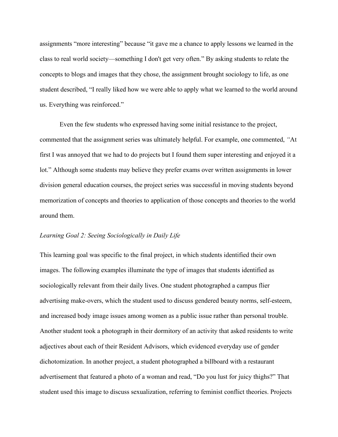assignments "more interesting" because "it gave me a chance to apply lessons we learned in the class to real world society—something I don't get very often." By asking students to relate the concepts to blogs and images that they chose, the assignment brought sociology to life, as one student described, "I really liked how we were able to apply what we learned to the world around us. Everything was reinforced."

Even the few students who expressed having some initial resistance to the project, commented that the assignment series was ultimately helpful. For example, one commented, *"*At first I was annoyed that we had to do projects but I found them super interesting and enjoyed it a lot." Although some students may believe they prefer exams over written assignments in lower division general education courses, the project series was successful in moving students beyond memorization of concepts and theories to application of those concepts and theories to the world around them.

#### *Learning Goal 2: Seeing Sociologically in Daily Life*

This learning goal was specific to the final project, in which students identified their own images. The following examples illuminate the type of images that students identified as sociologically relevant from their daily lives. One student photographed a campus flier advertising make-overs, which the student used to discuss gendered beauty norms, self-esteem, and increased body image issues among women as a public issue rather than personal trouble. Another student took a photograph in their dormitory of an activity that asked residents to write adjectives about each of their Resident Advisors, which evidenced everyday use of gender dichotomization. In another project, a student photographed a billboard with a restaurant advertisement that featured a photo of a woman and read, "Do you lust for juicy thighs?" That student used this image to discuss sexualization, referring to feminist conflict theories. Projects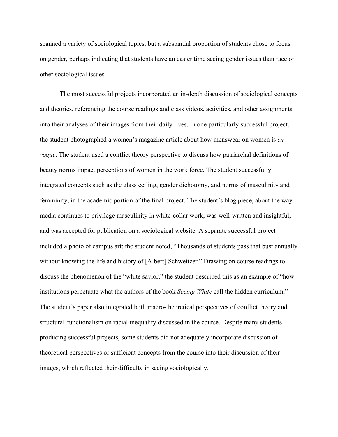spanned a variety of sociological topics, but a substantial proportion of students chose to focus on gender, perhaps indicating that students have an easier time seeing gender issues than race or other sociological issues.

The most successful projects incorporated an in-depth discussion of sociological concepts and theories, referencing the course readings and class videos, activities, and other assignments, into their analyses of their images from their daily lives. In one particularly successful project, the student photographed a women's magazine article about how menswear on women is *en vogue*. The student used a conflict theory perspective to discuss how patriarchal definitions of beauty norms impact perceptions of women in the work force. The student successfully integrated concepts such as the glass ceiling, gender dichotomy, and norms of masculinity and femininity, in the academic portion of the final project. The student's blog piece, about the way media continues to privilege masculinity in white-collar work, was well-written and insightful, and was accepted for publication on a sociological website. A separate successful project included a photo of campus art; the student noted, "Thousands of students pass that bust annually without knowing the life and history of [Albert] Schweitzer." Drawing on course readings to discuss the phenomenon of the "white savior," the student described this as an example of "how institutions perpetuate what the authors of the book *Seeing White* call the hidden curriculum." The student's paper also integrated both macro-theoretical perspectives of conflict theory and structural-functionalism on racial inequality discussed in the course. Despite many students producing successful projects, some students did not adequately incorporate discussion of theoretical perspectives or sufficient concepts from the course into their discussion of their images, which reflected their difficulty in seeing sociologically.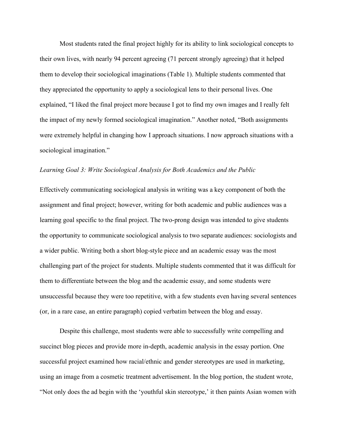Most students rated the final project highly for its ability to link sociological concepts to their own lives, with nearly 94 percent agreeing (71 percent strongly agreeing) that it helped them to develop their sociological imaginations (Table 1). Multiple students commented that they appreciated the opportunity to apply a sociological lens to their personal lives. One explained, "I liked the final project more because I got to find my own images and I really felt the impact of my newly formed sociological imagination." Another noted, "Both assignments were extremely helpful in changing how I approach situations. I now approach situations with a sociological imagination."

#### *Learning Goal 3: Write Sociological Analysis for Both Academics and the Public*

Effectively communicating sociological analysis in writing was a key component of both the assignment and final project; however, writing for both academic and public audiences was a learning goal specific to the final project. The two-prong design was intended to give students the opportunity to communicate sociological analysis to two separate audiences: sociologists and a wider public. Writing both a short blog-style piece and an academic essay was the most challenging part of the project for students. Multiple students commented that it was difficult for them to differentiate between the blog and the academic essay, and some students were unsuccessful because they were too repetitive, with a few students even having several sentences (or, in a rare case, an entire paragraph) copied verbatim between the blog and essay.

Despite this challenge, most students were able to successfully write compelling and succinct blog pieces and provide more in-depth, academic analysis in the essay portion. One successful project examined how racial/ethnic and gender stereotypes are used in marketing, using an image from a cosmetic treatment advertisement. In the blog portion, the student wrote, "Not only does the ad begin with the 'youthful skin stereotype,' it then paints Asian women with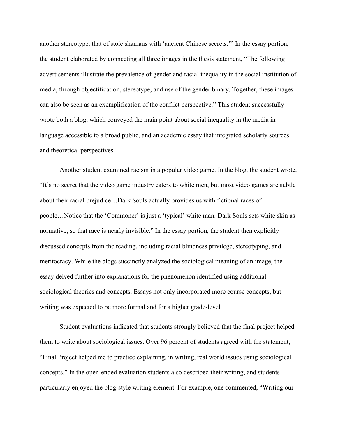another stereotype, that of stoic shamans with 'ancient Chinese secrets.'" In the essay portion, the student elaborated by connecting all three images in the thesis statement, "The following advertisements illustrate the prevalence of gender and racial inequality in the social institution of media, through objectification, stereotype, and use of the gender binary. Together, these images can also be seen as an exemplification of the conflict perspective." This student successfully wrote both a blog, which conveyed the main point about social inequality in the media in language accessible to a broad public, and an academic essay that integrated scholarly sources and theoretical perspectives.

Another student examined racism in a popular video game. In the blog, the student wrote, "It's no secret that the video game industry caters to white men, but most video games are subtle about their racial prejudice…Dark Souls actually provides us with fictional races of people…Notice that the 'Commoner' is just a 'typical' white man. Dark Souls sets white skin as normative, so that race is nearly invisible." In the essay portion, the student then explicitly discussed concepts from the reading, including racial blindness privilege, stereotyping, and meritocracy. While the blogs succinctly analyzed the sociological meaning of an image, the essay delved further into explanations for the phenomenon identified using additional sociological theories and concepts. Essays not only incorporated more course concepts, but writing was expected to be more formal and for a higher grade-level.

Student evaluations indicated that students strongly believed that the final project helped them to write about sociological issues. Over 96 percent of students agreed with the statement, "Final Project helped me to practice explaining, in writing, real world issues using sociological concepts." In the open-ended evaluation students also described their writing, and students particularly enjoyed the blog-style writing element. For example, one commented, "Writing our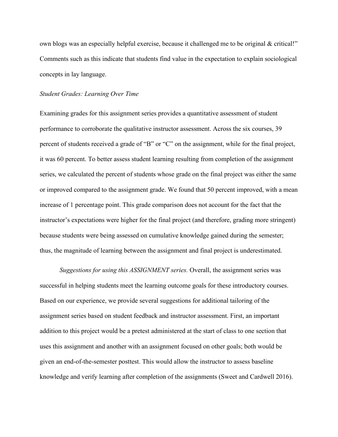own blogs was an especially helpful exercise, because it challenged me to be original & critical!" Comments such as this indicate that students find value in the expectation to explain sociological concepts in lay language.

#### *Student Grades: Learning Over Time*

Examining grades for this assignment series provides a quantitative assessment of student performance to corroborate the qualitative instructor assessment. Across the six courses, 39 percent of students received a grade of "B" or "C" on the assignment, while for the final project, it was 60 percent. To better assess student learning resulting from completion of the assignment series, we calculated the percent of students whose grade on the final project was either the same or improved compared to the assignment grade. We found that 50 percent improved, with a mean increase of 1 percentage point. This grade comparison does not account for the fact that the instructor's expectations were higher for the final project (and therefore, grading more stringent) because students were being assessed on cumulative knowledge gained during the semester; thus, the magnitude of learning between the assignment and final project is underestimated.

*Suggestions for using this ASSIGNMENT series.* Overall, the assignment series was successful in helping students meet the learning outcome goals for these introductory courses. Based on our experience, we provide several suggestions for additional tailoring of the assignment series based on student feedback and instructor assessment. First, an important addition to this project would be a pretest administered at the start of class to one section that uses this assignment and another with an assignment focused on other goals; both would be given an end-of-the-semester posttest. This would allow the instructor to assess baseline knowledge and verify learning after completion of the assignments (Sweet and Cardwell 2016).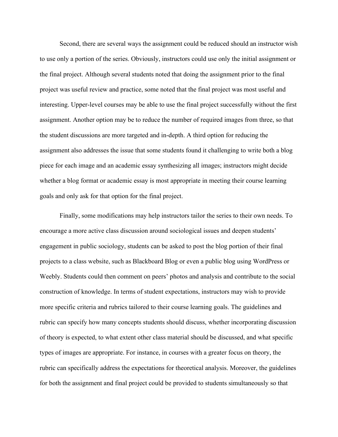Second, there are several ways the assignment could be reduced should an instructor wish to use only a portion of the series. Obviously, instructors could use only the initial assignment or the final project. Although several students noted that doing the assignment prior to the final project was useful review and practice, some noted that the final project was most useful and interesting. Upper-level courses may be able to use the final project successfully without the first assignment. Another option may be to reduce the number of required images from three, so that the student discussions are more targeted and in-depth. A third option for reducing the assignment also addresses the issue that some students found it challenging to write both a blog piece for each image and an academic essay synthesizing all images; instructors might decide whether a blog format or academic essay is most appropriate in meeting their course learning goals and only ask for that option for the final project.

Finally, some modifications may help instructors tailor the series to their own needs. To encourage a more active class discussion around sociological issues and deepen students' engagement in public sociology, students can be asked to post the blog portion of their final projects to a class website, such as Blackboard Blog or even a public blog using WordPress or Weebly. Students could then comment on peers' photos and analysis and contribute to the social construction of knowledge. In terms of student expectations, instructors may wish to provide more specific criteria and rubrics tailored to their course learning goals. The guidelines and rubric can specify how many concepts students should discuss, whether incorporating discussion of theory is expected, to what extent other class material should be discussed, and what specific types of images are appropriate. For instance, in courses with a greater focus on theory, the rubric can specifically address the expectations for theoretical analysis. Moreover, the guidelines for both the assignment and final project could be provided to students simultaneously so that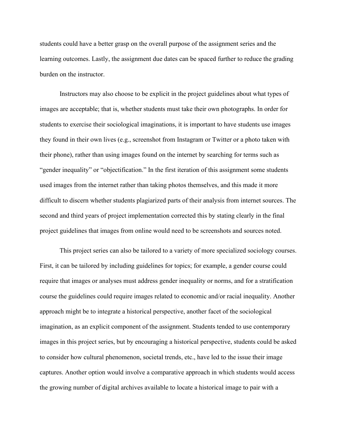students could have a better grasp on the overall purpose of the assignment series and the learning outcomes. Lastly, the assignment due dates can be spaced further to reduce the grading burden on the instructor.

Instructors may also choose to be explicit in the project guidelines about what types of images are acceptable; that is, whether students must take their own photographs. In order for students to exercise their sociological imaginations, it is important to have students use images they found in their own lives (e.g., screenshot from Instagram or Twitter or a photo taken with their phone), rather than using images found on the internet by searching for terms such as "gender inequality" or "objectification." In the first iteration of this assignment some students used images from the internet rather than taking photos themselves, and this made it more difficult to discern whether students plagiarized parts of their analysis from internet sources. The second and third years of project implementation corrected this by stating clearly in the final project guidelines that images from online would need to be screenshots and sources noted.

This project series can also be tailored to a variety of more specialized sociology courses. First, it can be tailored by including guidelines for topics; for example, a gender course could require that images or analyses must address gender inequality or norms, and for a stratification course the guidelines could require images related to economic and/or racial inequality. Another approach might be to integrate a historical perspective, another facet of the sociological imagination, as an explicit component of the assignment. Students tended to use contemporary images in this project series, but by encouraging a historical perspective, students could be asked to consider how cultural phenomenon, societal trends, etc., have led to the issue their image captures. Another option would involve a comparative approach in which students would access the growing number of digital archives available to locate a historical image to pair with a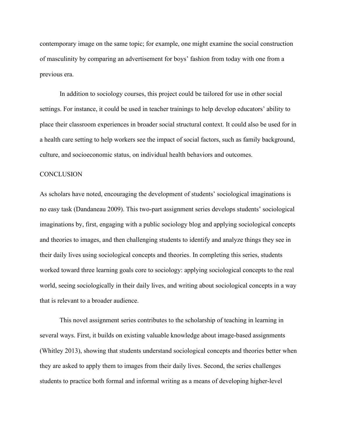contemporary image on the same topic; for example, one might examine the social construction of masculinity by comparing an advertisement for boys' fashion from today with one from a previous era.

In addition to sociology courses, this project could be tailored for use in other social settings. For instance, it could be used in teacher trainings to help develop educators' ability to place their classroom experiences in broader social structural context. It could also be used for in a health care setting to help workers see the impact of social factors, such as family background, culture, and socioeconomic status, on individual health behaviors and outcomes.

#### **CONCLUSION**

As scholars have noted, encouraging the development of students' sociological imaginations is no easy task (Dandaneau 2009). This two-part assignment series develops students' sociological imaginations by, first, engaging with a public sociology blog and applying sociological concepts and theories to images, and then challenging students to identify and analyze things they see in their daily lives using sociological concepts and theories. In completing this series, students worked toward three learning goals core to sociology: applying sociological concepts to the real world, seeing sociologically in their daily lives, and writing about sociological concepts in a way that is relevant to a broader audience.

This novel assignment series contributes to the scholarship of teaching in learning in several ways. First, it builds on existing valuable knowledge about image-based assignments (Whitley 2013), showing that students understand sociological concepts and theories better when they are asked to apply them to images from their daily lives. Second, the series challenges students to practice both formal and informal writing as a means of developing higher-level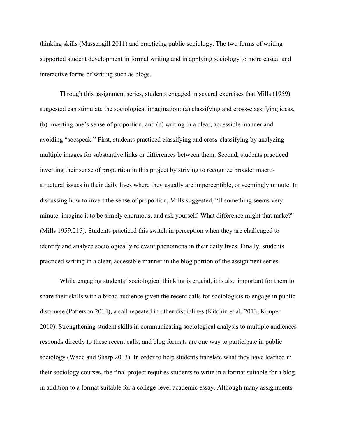thinking skills (Massengill 2011) and practicing public sociology. The two forms of writing supported student development in formal writing and in applying sociology to more casual and interactive forms of writing such as blogs.

Through this assignment series, students engaged in several exercises that Mills (1959) suggested can stimulate the sociological imagination: (a) classifying and cross-classifying ideas, (b) inverting one's sense of proportion, and (c) writing in a clear, accessible manner and avoiding "socspeak." First, students practiced classifying and cross-classifying by analyzing multiple images for substantive links or differences between them. Second, students practiced inverting their sense of proportion in this project by striving to recognize broader macrostructural issues in their daily lives where they usually are imperceptible, or seemingly minute. In discussing how to invert the sense of proportion, Mills suggested, "If something seems very minute, imagine it to be simply enormous, and ask yourself: What difference might that make?" (Mills 1959:215). Students practiced this switch in perception when they are challenged to identify and analyze sociologically relevant phenomena in their daily lives. Finally, students practiced writing in a clear, accessible manner in the blog portion of the assignment series.

While engaging students' sociological thinking is crucial, it is also important for them to share their skills with a broad audience given the recent calls for sociologists to engage in public discourse (Patterson 2014), a call repeated in other disciplines (Kitchin et al. 2013; Kouper 2010). Strengthening student skills in communicating sociological analysis to multiple audiences responds directly to these recent calls, and blog formats are one way to participate in public sociology (Wade and Sharp 2013). In order to help students translate what they have learned in their sociology courses, the final project requires students to write in a format suitable for a blog in addition to a format suitable for a college-level academic essay. Although many assignments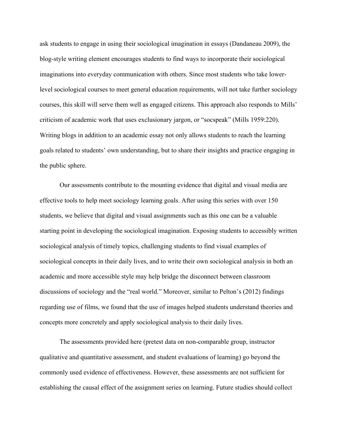ask students to engage in using their sociological imagination in essays (Dandaneau 2009), the blog-style writing element encourages students to find ways to incorporate their sociological imaginations into everyday communication with others. Since most students who take lowerlevel sociological courses to meet general education requirements, will not take further sociology courses, this skill will serve them well as engaged citizens. This approach also responds to Mills' criticism of academic work that uses exclusionary jargon, or "socspeak" (Mills 1959:220). Writing blogs in addition to an academic essay not only allows students to reach the learning goals related to students' own understanding, but to share their insights and practice engaging in the public sphere.

Our assessments contribute to the mounting evidence that digital and visual media are effective tools to help meet sociology learning goals. After using this series with over 150 students, we believe that digital and visual assignments such as this one can be a valuable starting point in developing the sociological imagination. Exposing students to accessibly written sociological analysis of timely topics, challenging students to find visual examples of sociological concepts in their daily lives, and to write their own sociological analysis in both an academic and more accessible style may help bridge the disconnect between classroom discussions of sociology and the "real world." Moreover, similar to Pelton's (2012) findings regarding use of films, we found that the use of images helped students understand theories and concepts more concretely and apply sociological analysis to their daily lives.

The assessments provided here (pretest data on non-comparable group, instructor qualitative and quantitative assessment, and student evaluations of learning) go beyond the commonly used evidence of effectiveness. However, these assessments are not sufficient for establishing the causal effect of the assignment series on learning. Future studies should collect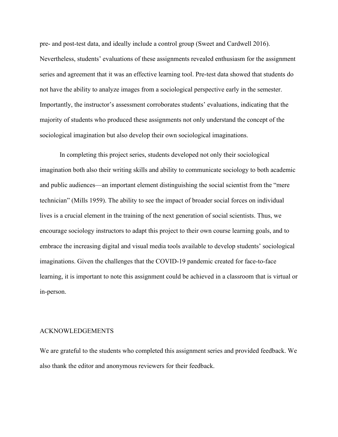pre- and post-test data, and ideally include a control group (Sweet and Cardwell 2016). Nevertheless, students' evaluations of these assignments revealed enthusiasm for the assignment series and agreement that it was an effective learning tool. Pre-test data showed that students do not have the ability to analyze images from a sociological perspective early in the semester. Importantly, the instructor's assessment corroborates students' evaluations, indicating that the majority of students who produced these assignments not only understand the concept of the sociological imagination but also develop their own sociological imaginations.

In completing this project series, students developed not only their sociological imagination both also their writing skills and ability to communicate sociology to both academic and public audiences—an important element distinguishing the social scientist from the "mere technician" (Mills 1959). The ability to see the impact of broader social forces on individual lives is a crucial element in the training of the next generation of social scientists. Thus, we encourage sociology instructors to adapt this project to their own course learning goals, and to embrace the increasing digital and visual media tools available to develop students' sociological imaginations. Given the challenges that the COVID-19 pandemic created for face-to-face learning, it is important to note this assignment could be achieved in a classroom that is virtual or in-person.

#### ACKNOWLEDGEMENTS

We are grateful to the students who completed this assignment series and provided feedback. We also thank the editor and anonymous reviewers for their feedback.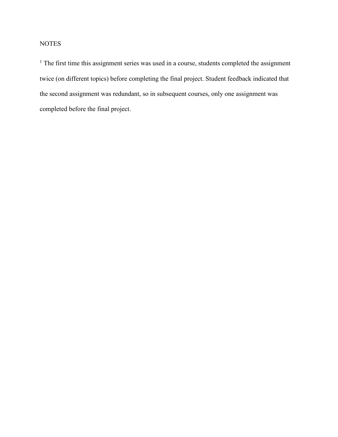# **NOTES**

<sup>1</sup> The first time this assignment series was used in a course, students completed the assignment twice (on different topics) before completing the final project. Student feedback indicated that the second assignment was redundant, so in subsequent courses, only one assignment was completed before the final project.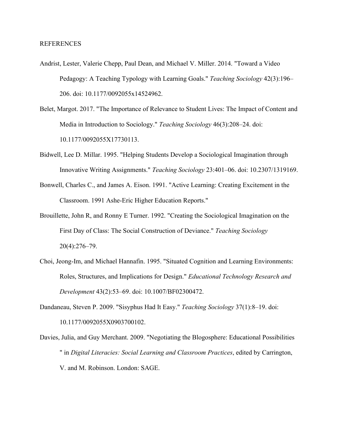#### REFERENCES

- Andrist, Lester, Valerie Chepp, Paul Dean, and Michael V. Miller. 2014. "Toward a Video Pedagogy: A Teaching Typology with Learning Goals." *Teaching Sociology* 42(3):196– 206. doi: 10.1177/0092055x14524962.
- Belet, Margot. 2017. "The Importance of Relevance to Student Lives: The Impact of Content and Media in Introduction to Sociology." *Teaching Sociology* 46(3):208–24. doi: 10.1177/0092055X17730113.
- Bidwell, Lee D. Millar. 1995. "Helping Students Develop a Sociological Imagination through Innovative Writing Assignments." *Teaching Sociology* 23:401–06. doi: 10.2307/1319169.
- Bonwell, Charles C., and James A. Eison. 1991. "Active Learning: Creating Excitement in the Classroom. 1991 Ashe-Eric Higher Education Reports."
- Brouillette, John R, and Ronny E Turner. 1992. "Creating the Sociological Imagination on the First Day of Class: The Social Construction of Deviance." *Teaching Sociology* 20(4):276–79.
- Choi, Jeong-Im, and Michael Hannafin. 1995. "Situated Cognition and Learning Environments: Roles, Structures, and Implications for Design." *Educational Technology Research and Development* 43(2):53–69. doi: 10.1007/BF02300472.
- Dandaneau, Steven P. 2009. "Sisyphus Had It Easy." *Teaching Sociology* 37(1):8–19. doi: 10.1177/0092055X0903700102.
- Davies, Julia, and Guy Merchant. 2009. "Negotiating the Blogosphere: Educational Possibilities " in *Digital Literacies: Social Learning and Classroom Practices*, edited by Carrington, V. and M. Robinson. London: SAGE.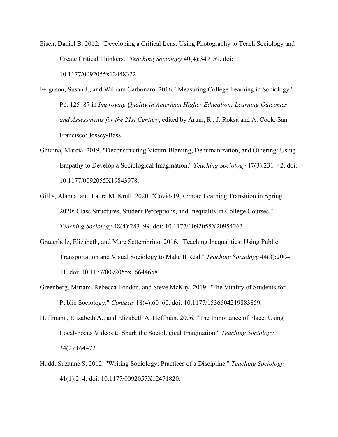- Eisen, Daniel B. 2012. "Developing a Critical Lens: Using Photography to Teach Sociology and Create Critical Thinkers." *Teaching Sociology* 40(4):349–59. doi: 10.1177/0092055x12448322.
- Ferguson, Susan J., and William Carbonaro. 2016. "Measuring College Learning in Sociology." Pp. 125–87 in *Improving Quality in American Higher Education: Learning Outcomes and Assessments for the 21st Century*, edited by Arum, R., J. Roksa and A. Cook. San Francisco: Jossey-Bass.
- <span id="page-31-0"></span>Ghidina, Marcia. 2019. "Deconstructing Victim-Blaming, Dehumanization, and Othering: Using Empathy to Develop a Sociological Imagination." *Teaching Sociology* 47(3):231–42. doi: 10.1177/0092055X19843978.
- Gillis, Alanna, and Laura M. Krull. 2020. "Covid-19 Remote Learning Transition in Spring 2020: Class Structures, Student Perceptions, and Inequality in College Courses." *Teaching Sociology* 48(4):283–99. doi: 10.1177/0092055X20954263.
- Grauerholz, Elizabeth, and Marc Settembrino. 2016. "Teaching Inequalities: Using Public Transportation and Visual Sociology to Make It Real." *Teaching Sociology* 44(3):200– 11. doi: 10.1177/0092055x16644658.
- Greenberg, Miriam, Rebecca London, and Steve McKay. 2019. "The Vitality of Students for Public Sociology." *Contexts* 18(4):60–60. doi: 10.1177/1536504219883859.
- Hoffmann, Elizabeth A., and Elizabeth A. Hoffman. 2006. "The Importance of Place: Using Local-Focus Videos to Spark the Sociological Imagination." *Teaching Sociology* 34(2):164–72.
- Hudd, Suzanne S. 2012. "Writing Sociology: Practices of a Discipline." *Teaching Sociology* 41(1):2–4. doi: 10.1177/0092055X12471820.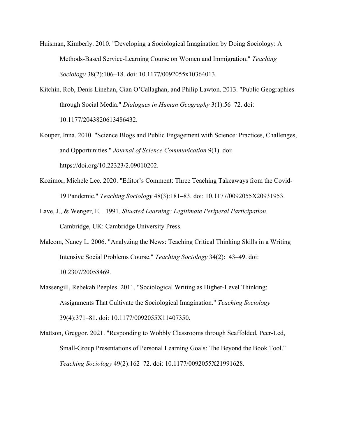- Huisman, Kimberly. 2010. "Developing a Sociological Imagination by Doing Sociology: A Methods-Based Service-Learning Course on Women and Immigration." *Teaching Sociology* 38(2):106–18. doi: 10.1177/0092055x10364013.
- Kitchin, Rob, Denis Linehan, Cian O'Callaghan, and Philip Lawton. 2013. "Public Geographies through Social Media." *Dialogues in Human Geography* 3(1):56–72. doi: 10.1177/2043820613486432.
- Kouper, Inna. 2010. "Science Blogs and Public Engagement with Science: Practices, Challenges, and Opportunities." *Journal of Science Communication* 9(1). doi: https://doi.org/10.22323/2.09010202.
- Kozimor, Michele Lee. 2020. "Editor's Comment: Three Teaching Takeaways from the Covid-19 Pandemic." *Teaching Sociology* 48(3):181–83. doi: 10.1177/0092055X20931953.
- Lave, J., & Wenger, E. . 1991. *Situated Learning: Legitimate Periperal Participation*. Cambridge, UK: Cambridge University Press.
- Malcom, Nancy L. 2006. "Analyzing the News: Teaching Critical Thinking Skills in a Writing Intensive Social Problems Course." *Teaching Sociology* 34(2):143–49. doi: 10.2307/20058469.
- Massengill, Rebekah Peeples. 2011. "Sociological Writing as Higher-Level Thinking: Assignments That Cultivate the Sociological Imagination." *Teaching Sociology* 39(4):371–81. doi: 10.1177/0092055X11407350.
- Mattson, Greggor. 2021. "Responding to Wobbly Classrooms through Scaffolded, Peer-Led, Small-Group Presentations of Personal Learning Goals: The Beyond the Book Tool." *Teaching Sociology* 49(2):162–72. doi: 10.1177/0092055X21991628.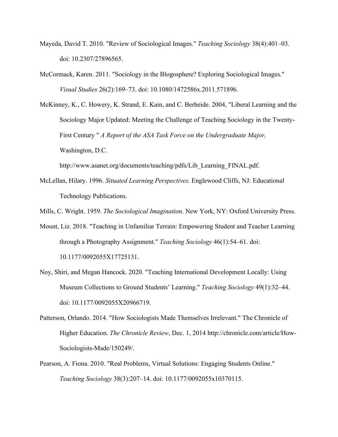- Mayeda, David T. 2010. "Review of Sociological Images." *Teaching Sociology* 38(4):401–03. doi: 10.2307/27896565.
- McCormack, Karen. 2011. "Sociology in the Blogosphere? Exploring Sociological Images." *Visual Studies* 26(2):169–73. doi: 10.1080/1472586x.2011.571896.
- McKinney, K., C. Howery, K. Strand, E. Kain, and C. Berheide. 2004, "Liberal Learning and the Sociology Major Updated: Meeting the Challenge of Teaching Sociology in the Twenty-First Century " *A Report of the ASA Task Force on the Undergraduate Major,* Washington, D.C.

http://www.asanet.org/documents/teaching/pdfs/Lib\_Learning\_FINAL.pdf.

- McLellan, Hilary. 1996. *Situated Learning Perspectives*. Englewood Cliffs, NJ: Educational Technology Publications.
- Mills, C. Wright. 1959. *The Sociological Imagination*. New York, NY: Oxford University Press.
- Mount, Liz. 2018. "Teaching in Unfamiliar Terrain: Empowering Student and Teacher Learning through a Photography Assignment." *Teaching Sociology* 46(1):54–61. doi: 10.1177/0092055X17725131.
- Noy, Shiri, and Megan Hancock. 2020. "Teaching International Development Locally: Using Museum Collections to Ground Students' Learning." *Teaching Sociology* 49(1):32–44. doi: 10.1177/0092055X20966719.
- Patterson, Orlando. 2014. "How Sociologists Made Themselves Irrelevant." The Chronicle of Higher Education. *The Chronicle Review*, Dec. 1, 2014 http://chronicle.com/article/How-Sociologists-Made/150249/.
- Pearson, A. Fiona. 2010. "Real Problems, Virtual Solutions: Engaging Students Online." *Teaching Sociology* 38(3):207–14. doi: 10.1177/0092055x10370115.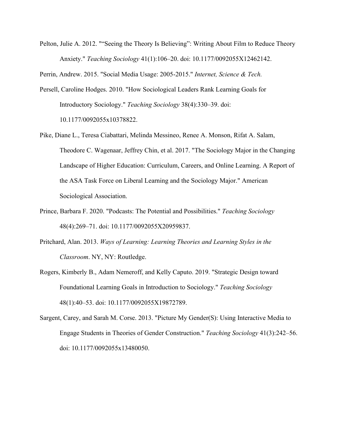Pelton, Julie A. 2012. ""Seeing the Theory Is Believing": Writing About Film to Reduce Theory Anxiety." *Teaching Sociology* 41(1):106–20. doi: 10.1177/0092055X12462142.

Perrin, Andrew. 2015. "Social Media Usage: 2005-2015." *Internet, Science & Tech.*

- Persell, Caroline Hodges. 2010. "How Sociological Leaders Rank Learning Goals for Introductory Sociology." *Teaching Sociology* 38(4):330–39. doi: 10.1177/0092055x10378822.
- Pike, Diane L., Teresa Ciabattari, Melinda Messineo, Renee A. Monson, Rifat A. Salam, Theodore C. Wagenaar, Jeffrey Chin, et al. 2017. "The Sociology Major in the Changing Landscape of Higher Education: Curriculum, Careers, and Online Learning. A Report of the ASA Task Force on Liberal Learning and the Sociology Major." American Sociological Association.
- Prince, Barbara F. 2020. "Podcasts: The Potential and Possibilities." *Teaching Sociology* 48(4):269–71. doi: 10.1177/0092055X20959837.
- Pritchard, Alan. 2013. *Ways of Learning: Learning Theories and Learning Styles in the Classroom*. NY, NY: Routledge.
- Rogers, Kimberly B., Adam Nemeroff, and Kelly Caputo. 2019. "Strategic Design toward Foundational Learning Goals in Introduction to Sociology." *Teaching Sociology* 48(1):40–53. doi: 10.1177/0092055X19872789.
- Sargent, Carey, and Sarah M. Corse. 2013. "Picture My Gender(S): Using Interactive Media to Engage Students in Theories of Gender Construction." *Teaching Sociology* 41(3):242–56. doi: 10.1177/0092055x13480050.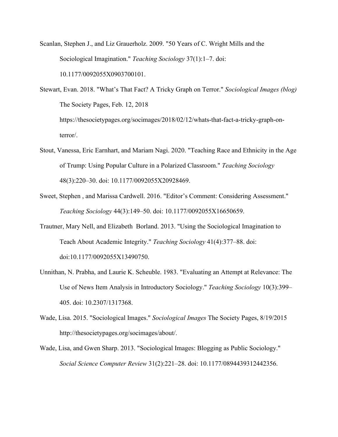- Scanlan, Stephen J., and Liz Grauerholz. 2009. "50 Years of C. Wright Mills and the Sociological Imagination." *Teaching Sociology* 37(1):1–7. doi: 10.1177/0092055X0903700101.
- Stewart, Evan. 2018. "What's That Fact? A Tricky Graph on Terror." *Sociological Images (blog)*  The Society Pages, Feb. 12, 2018 https://thesocietypages.org/socimages/2018/02/12/whats-that-fact-a-tricky-graph-onterror/.
- Stout, Vanessa, Eric Earnhart, and Mariam Nagi. 2020. "Teaching Race and Ethnicity in the Age of Trump: Using Popular Culture in a Polarized Classroom." *Teaching Sociology* 48(3):220–30. doi: 10.1177/0092055X20928469.
- Sweet, Stephen , and Marissa Cardwell. 2016. "Editor's Comment: Considering Assessment." *Teaching Sociology* 44(3):149–50. doi: 10.1177/0092055X16650659.
- Trautner, Mary Nell, and Elizabeth Borland. 2013. "Using the Sociological Imagination to Teach About Academic Integrity." *Teaching Sociology* 41(4):377–88. doi: doi:10.1177/0092055X13490750.
- Unnithan, N. Prabha, and Laurie K. Scheuble. 1983. "Evaluating an Attempt at Relevance: The Use of News Item Analysis in Introductory Sociology." *Teaching Sociology* 10(3):399– 405. doi: 10.2307/1317368.
- Wade, Lisa. 2015. "Sociological Images." *Sociological Images* The Society Pages, 8/19/2015 http://thesocietypages.org/socimages/about/.
- Wade, Lisa, and Gwen Sharp. 2013. "Sociological Images: Blogging as Public Sociology." *Social Science Computer Review* 31(2):221–28. doi: 10.1177/0894439312442356.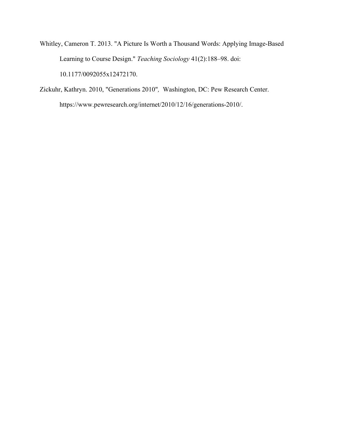- Whitley, Cameron T. 2013. "A Picture Is Worth a Thousand Words: Applying Image-Based Learning to Course Design." *Teaching Sociology* 41(2):188–98. doi: 10.1177/0092055x12472170.
- Zickuhr, Kathryn. 2010, "Generations 2010"*,* Washington, DC: Pew Research Center. https://www.pewresearch.org/internet/2010/12/16/generations-2010/.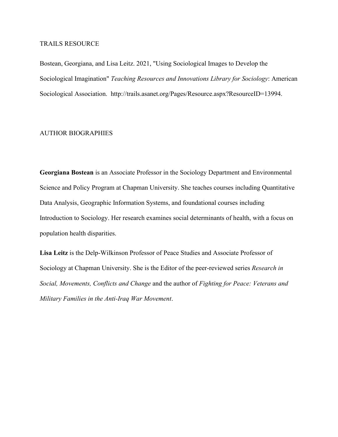#### TRAILS RESOURCE

Bostean, Georgiana, and Lisa Leitz. 2021, "Using Sociological Images to Develop the Sociological Imagination" *Teaching Resources and Innovations Library for Sociology*: American Sociological Association. [http://trails.asanet.org/Pages/Resource.aspx?ResourceID=13994.](http://trails.asanet.org/Pages/Resource.aspx?ResourceID=13994)

#### AUTHOR BIOGRAPHIES

**Georgiana Bostean** is an Associate Professor in the Sociology Department and Environmental Science and Policy Program at Chapman University. She teaches courses including Quantitative Data Analysis, Geographic Information Systems, and foundational courses including Introduction to Sociology. Her research examines social determinants of health, with a focus on population health disparities.

**Lisa Leitz** is the Delp-Wilkinson Professor of Peace Studies and Associate Professor of Sociology at Chapman University. She is the Editor of the peer-reviewed series *Research in Social, Movements, Conflicts and Change* and the author of *Fighting for Peace: Veterans and Military Families in the Anti-Iraq War Movement*.